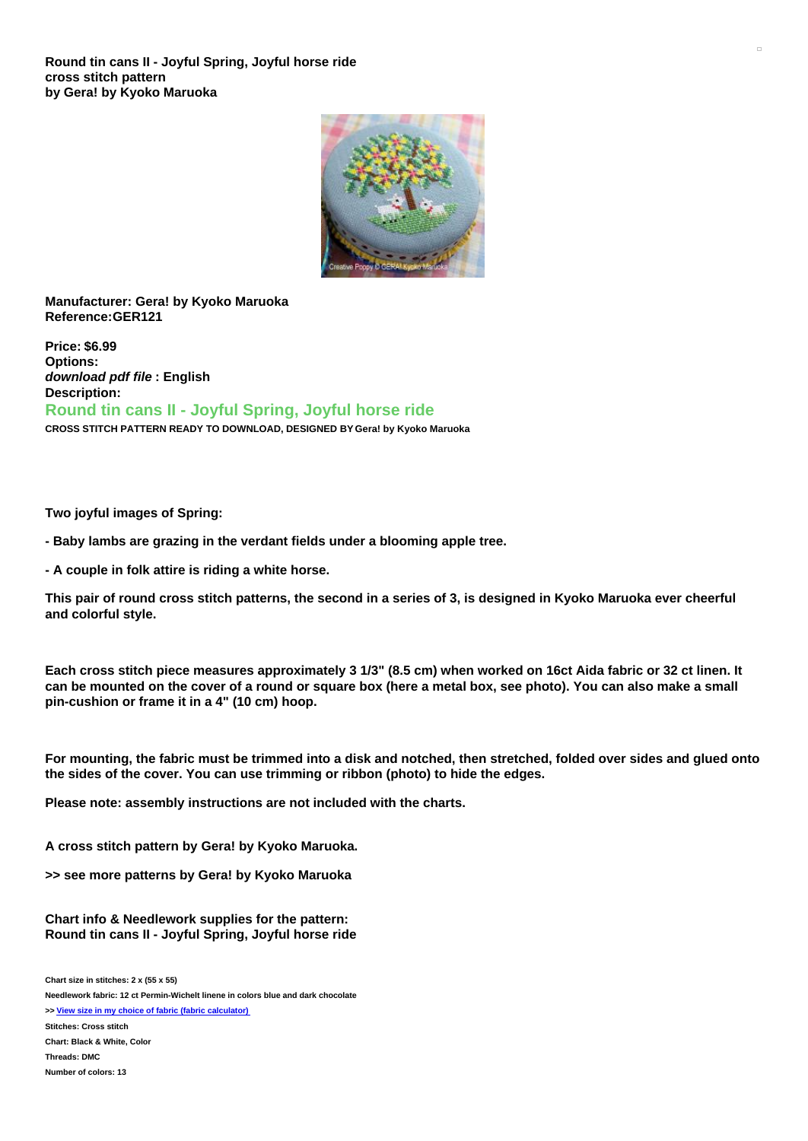**Round tin cans II - Joyful Spring, Joyful horse ride cross stitch pattern by Gera! by Kyoko Maruoka**



## **Manufacturer: Gera! by Kyoko Maruoka Reference:GER121**

**Price: \$6.99 Options:** *download pdf file* **: English Description: Round tin cans II - Joyful Spring, Joyful horse ride CROSS STITCH PATTERN READY TO DOWNLOAD, DESIGNED BY Gera! by Kyoko Maruoka**

**Two joyful images of Spring:**

**- Baby lambs are grazing in the verdant fields under a blooming apple tree.**

**- A couple in folk attire is riding a white horse.**

This pair of round cross stitch patterns, the second in a series of 3, is designed in Kyoko Maruoka ever cheerful **and colorful style.**

Each cross stitch piece measures approximately 3 1/3" (8.5 cm) when worked on 16ct Aida fabric or 32 ct linen. It can be mounted on the cover of a round or square box (here a metal box, see photo). You can also make a small **pin-cushion or frame it in a 4" (10 cm) hoop.**

For mounting, the fabric must be trimmed into a disk and notched, then stretched, folded over sides and glued onto **the sides of the cover. You can use trimming or ribbon (photo) to hide the edges.**

**Please note: assembly instructions are not included with the charts.**

**A cross stitch pattern by Gera! by Kyoko Maruoka.**

**>> see more patterns by Gera! by Kyoko Maruoka**

**Chart info & Needlework supplies for the pattern: Round tin cans II - Joyful Spring, Joyful horse ride**

**Chart size in stitches: 2 x (55 x 55)**

**Needlework fabric: 12 ct Permin-Wichelt linene in colors blue and dark chocolate**

**>> View size in my choice of fabric (fabric [calculator\)](https://www.creativepoppypatterns.com/calculette-de-toile.php?products_id=3651&w=55&h=55) Stitches: Cross stitch Chart: Black & White, Color**

**Threads: DMC**

**Number of colors: 13**